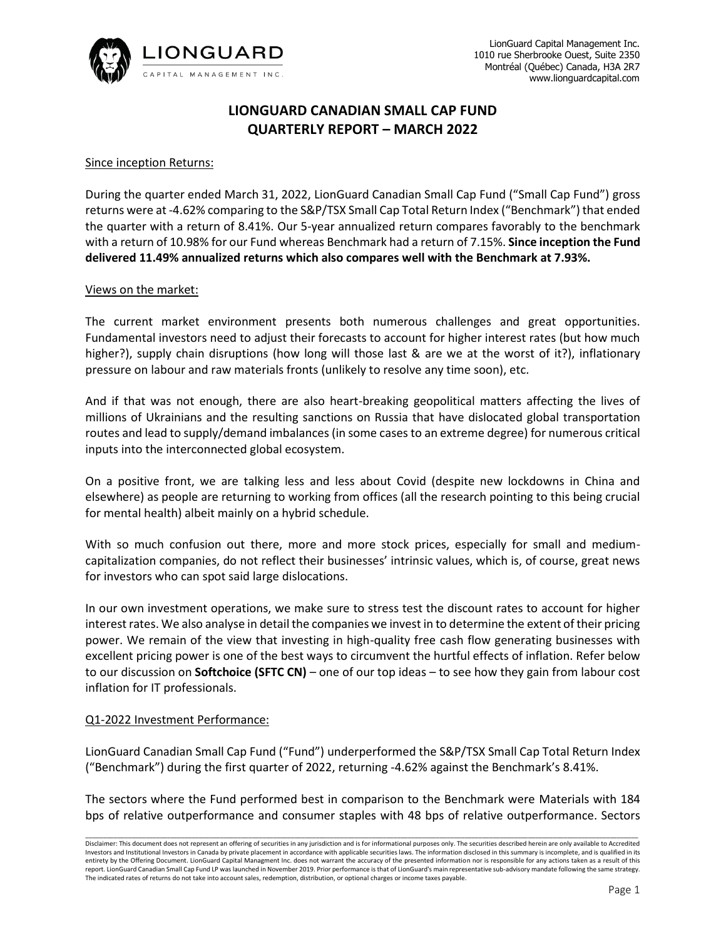

# **LIONGUARD CANADIAN SMALL CAP FUND QUARTERLY REPORT – MARCH 2022**

# Since inception Returns:

During the quarter ended March 31, 2022, LionGuard Canadian Small Cap Fund ("Small Cap Fund") gross returns were at -4.62% comparing to the S&P/TSX Small Cap Total Return Index ("Benchmark") that ended the quarter with a return of 8.41%. Our 5-year annualized return compares favorably to the benchmark with a return of 10.98% for our Fund whereas Benchmark had a return of 7.15%. **Since inception the Fund delivered 11.49% annualized returns which also compares well with the Benchmark at 7.93%.**

## Views on the market:

The current market environment presents both numerous challenges and great opportunities. Fundamental investors need to adjust their forecasts to account for higher interest rates (but how much higher?), supply chain disruptions (how long will those last & are we at the worst of it?), inflationary pressure on labour and raw materials fronts (unlikely to resolve any time soon), etc.

And if that was not enough, there are also heart-breaking geopolitical matters affecting the lives of millions of Ukrainians and the resulting sanctions on Russia that have dislocated global transportation routes and lead to supply/demand imbalances (in some cases to an extreme degree) for numerous critical inputs into the interconnected global ecosystem.

On a positive front, we are talking less and less about Covid (despite new lockdowns in China and elsewhere) as people are returning to working from offices (all the research pointing to this being crucial for mental health) albeit mainly on a hybrid schedule.

With so much confusion out there, more and more stock prices, especially for small and mediumcapitalization companies, do not reflect their businesses' intrinsic values, which is, of course, great news for investors who can spot said large dislocations.

In our own investment operations, we make sure to stress test the discount rates to account for higher interest rates. We also analyse in detail the companies we invest in to determine the extent of their pricing power. We remain of the view that investing in high-quality free cash flow generating businesses with excellent pricing power is one of the best ways to circumvent the hurtful effects of inflation. Refer below to our discussion on **Softchoice (SFTC CN)** – one of our top ideas – to see how they gain from labour cost inflation for IT professionals.

#### Q1-2022 Investment Performance:

LionGuard Canadian Small Cap Fund ("Fund") underperformed the S&P/TSX Small Cap Total Return Index ("Benchmark") during the first quarter of 2022, returning -4.62% against the Benchmark's 8.41%.

The sectors where the Fund performed best in comparison to the Benchmark were Materials with 184 bps of relative outperformance and consumer staples with 48 bps of relative outperformance. Sectors

Disclaimer: This document does not represent an offering of securities in any jurisdiction and is for informational purposes only. The securities described herein are only available to Accredited Investors and Institutional Investors in Canada by private placement in accordance with applicable securities laws. The information disclosed in this summary is incomplete, and is qualified in its entirety by the Offering Document. LionGuard Capital Managment Inc. does not warrant the accuracy of the presented information nor is responsible for any actions taken as a result of this report. LionGuard Canadian Small Cap Fund LP was launched in November 2019. Prior performance is that of LionGuard's main representative sub-advisory mandate following the same strategy. The indicated rates of returns do not take into account sales, redemption, distribution, or optional charges or income taxes payable.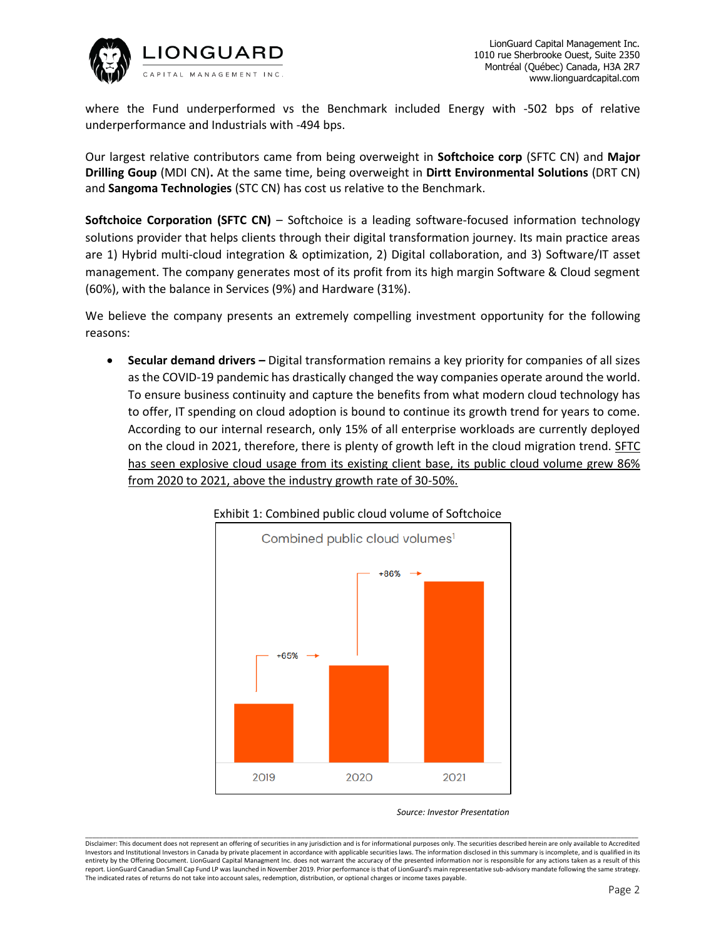

where the Fund underperformed vs the Benchmark included Energy with -502 bps of relative underperformance and Industrials with -494 bps.

Our largest relative contributors came from being overweight in **Softchoice corp** (SFTC CN) and **Major Drilling Goup** (MDI CN)**.** At the same time, being overweight in **Dirtt Environmental Solutions** (DRT CN) and **Sangoma Technologies** (STC CN) has cost us relative to the Benchmark.

**Softchoice Corporation (SFTC CN)** – Softchoice is a leading software-focused information technology solutions provider that helps clients through their digital transformation journey. Its main practice areas are 1) Hybrid multi-cloud integration & optimization, 2) Digital collaboration, and 3) Software/IT asset management. The company generates most of its profit from its high margin Software & Cloud segment (60%), with the balance in Services (9%) and Hardware (31%).

We believe the company presents an extremely compelling investment opportunity for the following reasons:

• **Secular demand drivers –** Digital transformation remains a key priority for companies of all sizes as the COVID-19 pandemic has drastically changed the way companies operate around the world. To ensure business continuity and capture the benefits from what modern cloud technology has to offer, IT spending on cloud adoption is bound to continue its growth trend for years to come. According to our internal research, only 15% of all enterprise workloads are currently deployed on the cloud in 2021, therefore, there is plenty of growth left in the cloud migration trend. SFTC has seen explosive cloud usage from its existing client base, its public cloud volume grew 86% from 2020 to 2021, above the industry growth rate of 30-50%.



#### Exhibit 1: Combined public cloud volume of Softchoice

 *Source: Investor Presentation*

Disclaimer: This document does not represent an offering of securities in any jurisdiction and is for informational purposes only. The securities described herein are only available to Accredited Investors and Institutional Investors in Canada by private placement in accordance with applicable securities laws. The information disclosed in this summary is incomplete, and is qualified in its entirety by the Offering Document. LionGuard Capital Managment Inc. does not warrant the accuracy of the presented information nor is responsible for any actions taken as a result of this report. LionGuard Canadian Small Cap Fund LP was launched in November 2019. Prior performance is that of LionGuard's main representative sub-advisory mandate following the same strategy. The indicated rates of returns do not take into account sales, redemption, distribution, or optional charges or income taxes payable.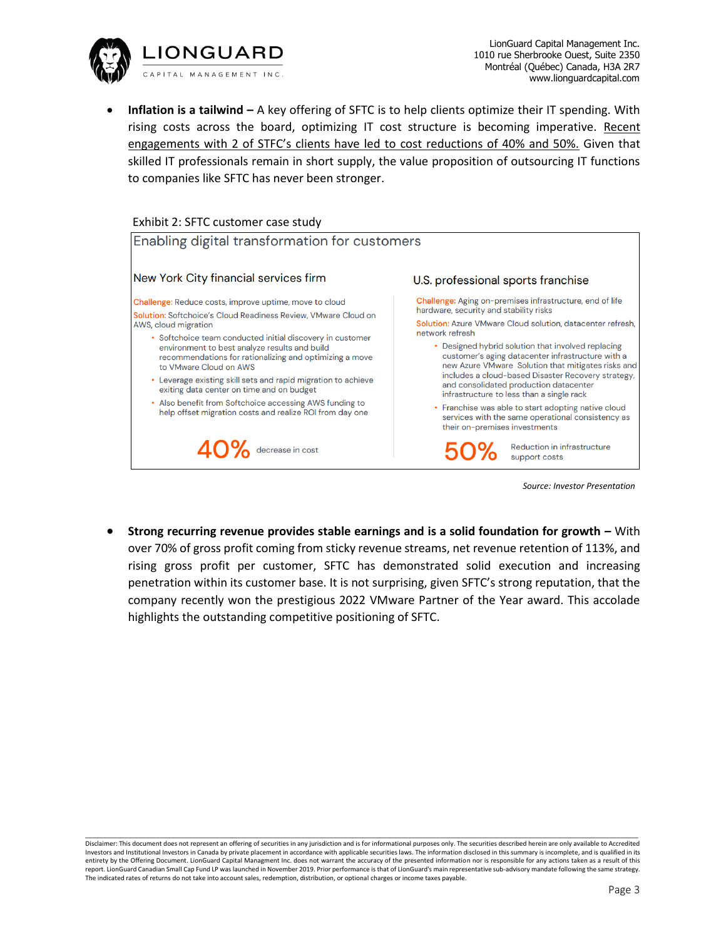

• **Inflation is a tailwind –** A key offering of SFTC is to help clients optimize their IT spending. With rising costs across the board, optimizing IT cost structure is becoming imperative. Recent engagements with 2 of STFC's clients have led to cost reductions of 40% and 50%. Given that skilled IT professionals remain in short supply, the value proposition of outsourcing IT functions to companies like SFTC has never been stronger.

## Exhibit 2: SFTC customer case study



• **Strong recurring revenue provides stable earnings and is a solid foundation for growth –** With over 70% of gross profit coming from sticky revenue streams, net revenue retention of 113%, and rising gross profit per customer, SFTC has demonstrated solid execution and increasing penetration within its customer base. It is not surprising, given SFTC's strong reputation, that the company recently won the prestigious 2022 VMware Partner of the Year award. This accolade highlights the outstanding competitive positioning of SFTC.

Disclaimer: This document does not represent an offering of securities in any jurisdiction and is for informational purposes only. The securities described herein are only available to Accredited Investors and Institutional Investors in Canada by private placement in accordance with applicable securities laws. The information disclosed in this summary is incomplete, and is qualified in its entirety by the Offering Document. LionGuard Capital Managment Inc. does not warrant the accuracy of the presented information nor is responsible for any actions taken as a result of this report. LionGuard Canadian Small Cap Fund LP was launched in November 2019. Prior performance is that of LionGuard's main representative sub-advisory mandate following the same strategy. The indicated rates of returns do not take into account sales, redemption, distribution, or optional charges or income taxes payable.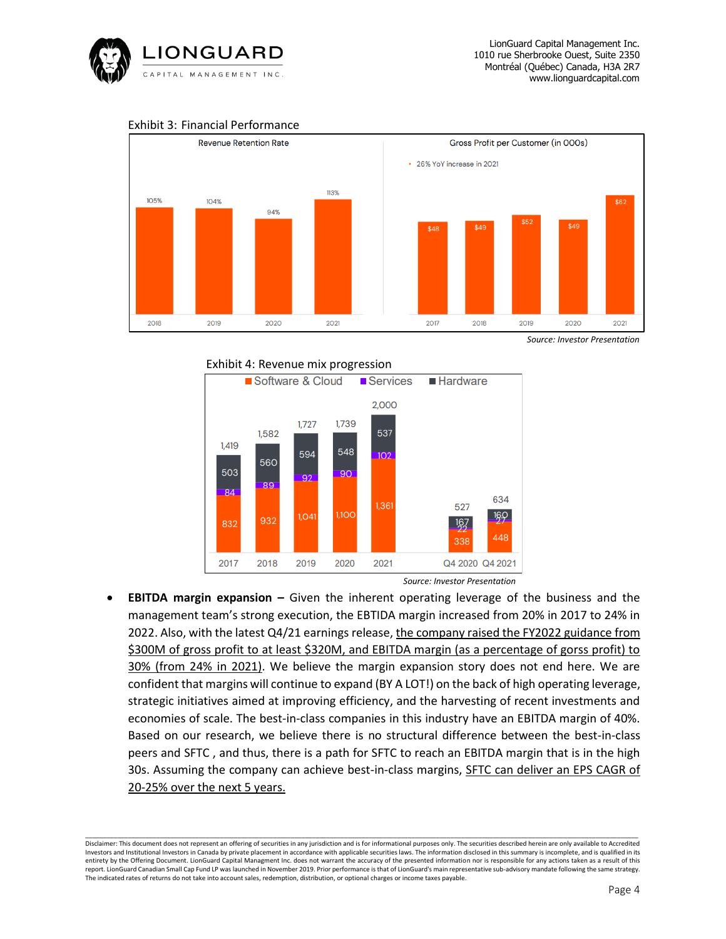

# Exhibit 3: Financial Performance



*Source: Investor Presentation*

# Exhibit 4: Revenue mix progression



 *Source: Investor Presentation*

• **EBITDA margin expansion –** Given the inherent operating leverage of the business and the management team's strong execution, the EBTIDA margin increased from 20% in 2017 to 24% in 2022. Also, with the latest Q4/21 earnings release, the company raised the FY2022 guidance from \$300M of gross profit to at least \$320M, and EBITDA margin (as a percentage of gorss profit) to 30% (from 24% in 2021). We believe the margin expansion story does not end here. We are confident that margins will continue to expand (BY A LOT!) on the back of high operating leverage, strategic initiatives aimed at improving efficiency, and the harvesting of recent investments and economies of scale. The best-in-class companies in this industry have an EBITDA margin of 40%. Based on our research, we believe there is no structural difference between the best-in-class peers and SFTC , and thus, there is a path for SFTC to reach an EBITDA margin that is in the high 30s. Assuming the company can achieve best-in-class margins, SFTC can deliver an EPS CAGR of 20-25% over the next 5 years.

Disclaimer: This document does not represent an offering of securities in any jurisdiction and is for informational purposes only. The securities described herein are only available to Accredited Investors and Institutional Investors in Canada by private placement in accordance with applicable securities laws. The information disclosed in this summary is incomplete, and is qualified in its entirety by the Offering Document. LionGuard Capital Managment Inc. does not warrant the accuracy of the presented information nor is responsible for any actions taken as a result of this report. LionGuard Canadian Small Cap Fund LP was launched in November 2019. Prior performance is that of LionGuard's main representative sub-advisory mandate following the same strategy. The indicated rates of returns do not take into account sales, redemption, distribution, or optional charges or income taxes payable.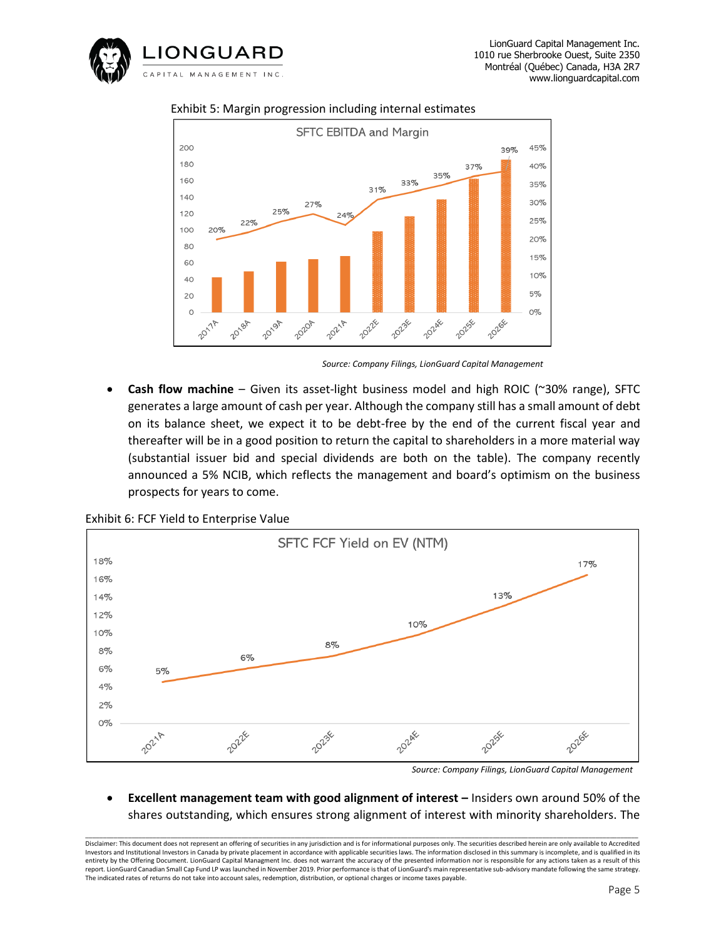



## Exhibit 5: Margin progression including internal estimates

 *Source: Company Filings, LionGuard Capital Management*

• **Cash flow machine** – Given its asset-light business model and high ROIC (~30% range), SFTC generates a large amount of cash per year. Although the company still has a small amount of debt on its balance sheet, we expect it to be debt-free by the end of the current fiscal year and thereafter will be in a good position to return the capital to shareholders in a more material way (substantial issuer bid and special dividends are both on the table). The company recently announced a 5% NCIB, which reflects the management and board's optimism on the business prospects for years to come.



Exhibit 6: FCF Yield to Enterprise Value

**Excellent management team with good alignment of interest – Insiders own around 50% of the** shares outstanding, which ensures strong alignment of interest with minority shareholders. The

*Source: Company Filings, LionGuard Capital Management*

Disclaimer: This document does not represent an offering of securities in any jurisdiction and is for informational purposes only. The securities described herein are only available to Accredited Investors and Institutional Investors in Canada by private placement in accordance with applicable securities laws. The information disclosed in this summary is incomplete, and is qualified in its entirety by the Offering Document. LionGuard Capital Managment Inc. does not warrant the accuracy of the presented information nor is responsible for any actions taken as a result of this report. LionGuard Canadian Small Cap Fund LP was launched in November 2019. Prior performance is that of LionGuard's main representative sub-advisory mandate following the same strategy. The indicated rates of returns do not take into account sales, redemption, distribution, or optional charges or income taxes payable.